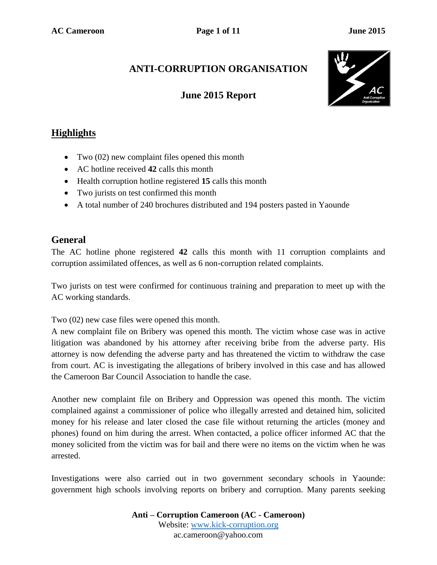# **ANTI-CORRUPTION ORGANISATION**

## **June 2015 Report**



## **Highlights**

- Two (02) new complaint files opened this month
- AC hotline received **42** calls this month
- Health corruption hotline registered **15** calls this month
- Two jurists on test confirmed this month
- A total number of 240 brochures distributed and 194 posters pasted in Yaounde

#### **General**

The AC hotline phone registered **42** calls this month with 11 corruption complaints and corruption assimilated offences, as well as 6 non-corruption related complaints.

Two jurists on test were confirmed for continuous training and preparation to meet up with the AC working standards.

Two (02) new case files were opened this month.

A new complaint file on Bribery was opened this month. The victim whose case was in active litigation was abandoned by his attorney after receiving bribe from the adverse party. His attorney is now defending the adverse party and has threatened the victim to withdraw the case from court. AC is investigating the allegations of bribery involved in this case and has allowed the Cameroon Bar Council Association to handle the case.

Another new complaint file on Bribery and Oppression was opened this month. The victim complained against a commissioner of police who illegally arrested and detained him, solicited money for his release and later closed the case file without returning the articles (money and phones) found on him during the arrest. When contacted, a police officer informed AC that the money solicited from the victim was for bail and there were no items on the victim when he was arrested.

Investigations were also carried out in two government secondary schools in Yaounde: government high schools involving reports on bribery and corruption. Many parents seeking

> **Anti – Corruption Cameroon (AC - Cameroon)** Website: [www.kick-corruption.org](http://www.kick-corruption.org/) ac.cameroon@yahoo.com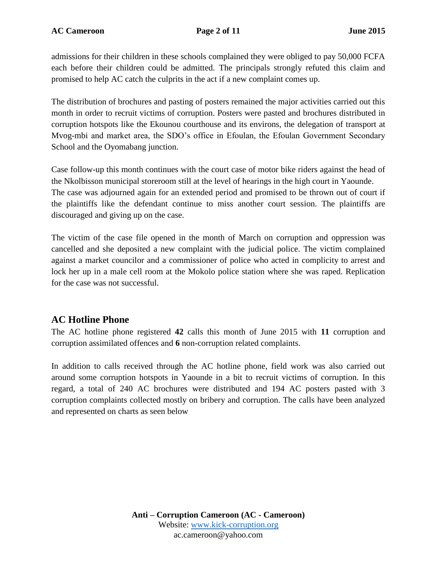admissions for their children in these schools complained they were obliged to pay 50,000 FCFA each before their children could be admitted. The principals strongly refuted this claim and promised to help AC catch the culprits in the act if a new complaint comes up.

The distribution of brochures and pasting of posters remained the major activities carried out this month in order to recruit victims of corruption. Posters were pasted and brochures distributed in corruption hotspots like the Ekounou courthouse and its environs, the delegation of transport at Mvog-mbi and market area, the SDO's office in Efoulan, the Efoulan Government Secondary School and the Oyomabang junction.

Case follow-up this month continues with the court case of motor bike riders against the head of the Nkolbisson municipal storeroom still at the level of hearings in the high court in Yaounde. The case was adjourned again for an extended period and promised to be thrown out of court if the plaintiffs like the defendant continue to miss another court session. The plaintiffs are discouraged and giving up on the case.

The victim of the case file opened in the month of March on corruption and oppression was cancelled and she deposited a new complaint with the judicial police. The victim complained against a market councilor and a commissioner of police who acted in complicity to arrest and lock her up in a male cell room at the Mokolo police station where she was raped. Replication for the case was not successful.

#### **AC Hotline Phone**

The AC hotline phone registered **42** calls this month of June 2015 with **11** corruption and corruption assimilated offences and **6** non-corruption related complaints.

In addition to calls received through the AC hotline phone, field work was also carried out around some corruption hotspots in Yaounde in a bit to recruit victims of corruption. In this regard, a total of 240 AC brochures were distributed and 194 AC posters pasted with 3 corruption complaints collected mostly on bribery and corruption. The calls have been analyzed and represented on charts as seen below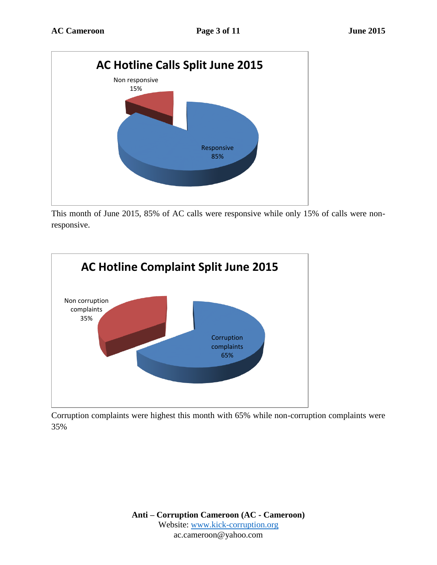

This month of June 2015, 85% of AC calls were responsive while only 15% of calls were nonresponsive.



Corruption complaints were highest this month with 65% while non-corruption complaints were 35%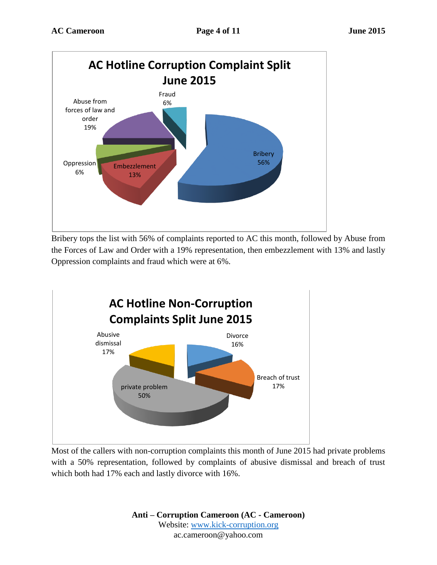

Bribery tops the list with 56% of complaints reported to AC this month, followed by Abuse from the Forces of Law and Order with a 19% representation, then embezzlement with 13% and lastly Oppression complaints and fraud which were at 6%.



Most of the callers with non-corruption complaints this month of June 2015 had private problems with a 50% representation, followed by complaints of abusive dismissal and breach of trust which both had 17% each and lastly divorce with 16%.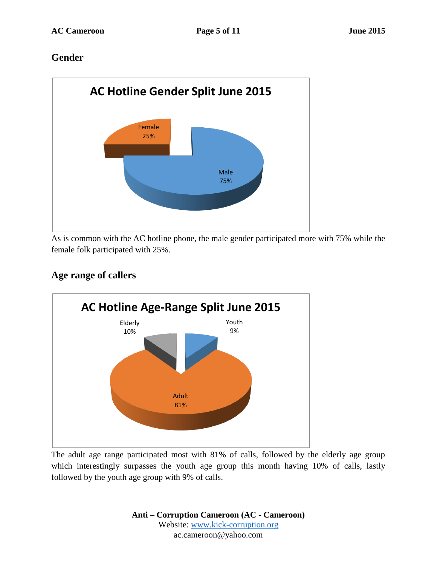#### **Gender**



As is common with the AC hotline phone, the male gender participated more with 75% while the female folk participated with 25%.

# Youth 9% Adult 81% Elderly 10% **AC Hotline Age-Range Split June 2015**

# **Age range of callers**

The adult age range participated most with 81% of calls, followed by the elderly age group which interestingly surpasses the youth age group this month having 10% of calls, lastly followed by the youth age group with 9% of calls.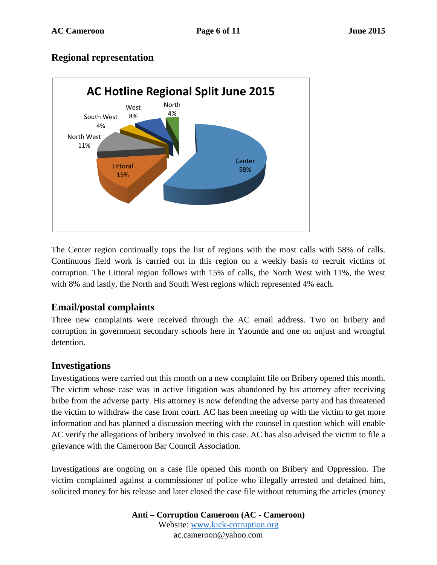#### **Regional representation**



The Center region continually tops the list of regions with the most calls with 58% of calls. Continuous field work is carried out in this region on a weekly basis to recruit victims of corruption. The Littoral region follows with 15% of calls, the North West with 11%, the West with 8% and lastly, the North and South West regions which represented 4% each.

#### **Email/postal complaints**

Three new complaints were received through the AC email address. Two on bribery and corruption in government secondary schools here in Yaounde and one on unjust and wrongful detention.

#### **Investigations**

Investigations were carried out this month on a new complaint file on Bribery opened this month. The victim whose case was in active litigation was abandoned by his attorney after receiving bribe from the adverse party. His attorney is now defending the adverse party and has threatened the victim to withdraw the case from court. AC has been meeting up with the victim to get more information and has planned a discussion meeting with the counsel in question which will enable AC verify the allegations of bribery involved in this case. AC has also advised the victim to file a grievance with the Cameroon Bar Council Association.

Investigations are ongoing on a case file opened this month on Bribery and Oppression. The victim complained against a commissioner of police who illegally arrested and detained him, solicited money for his release and later closed the case file without returning the articles (money

> **Anti – Corruption Cameroon (AC - Cameroon)** Website: [www.kick-corruption.org](http://www.kick-corruption.org/) ac.cameroon@yahoo.com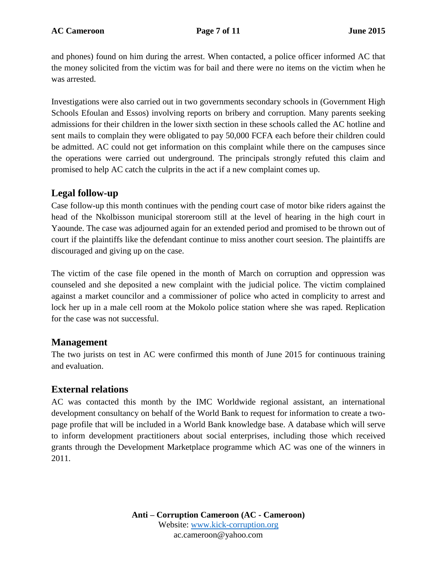and phones) found on him during the arrest. When contacted, a police officer informed AC that the money solicited from the victim was for bail and there were no items on the victim when he was arrested.

Investigations were also carried out in two governments secondary schools in (Government High Schools Efoulan and Essos) involving reports on bribery and corruption. Many parents seeking admissions for their children in the lower sixth section in these schools called the AC hotline and sent mails to complain they were obligated to pay 50,000 FCFA each before their children could be admitted. AC could not get information on this complaint while there on the campuses since the operations were carried out underground. The principals strongly refuted this claim and promised to help AC catch the culprits in the act if a new complaint comes up.

#### **Legal follow-up**

Case follow-up this month continues with the pending court case of motor bike riders against the head of the Nkolbisson municipal storeroom still at the level of hearing in the high court in Yaounde. The case was adjourned again for an extended period and promised to be thrown out of court if the plaintiffs like the defendant continue to miss another court seesion. The plaintiffs are discouraged and giving up on the case.

The victim of the case file opened in the month of March on corruption and oppression was counseled and she deposited a new complaint with the judicial police. The victim complained against a market councilor and a commissioner of police who acted in complicity to arrest and lock her up in a male cell room at the Mokolo police station where she was raped. Replication for the case was not successful.

#### **Management**

The two jurists on test in AC were confirmed this month of June 2015 for continuous training and evaluation.

#### **External relations**

AC was contacted this month by the IMC Worldwide regional assistant, an international development consultancy on behalf of the World Bank to request for information to create a twopage profile that will be included in a World Bank knowledge base. A database which will serve to inform development practitioners about social enterprises, including those which received grants through the Development Marketplace programme which AC was one of the winners in 2011.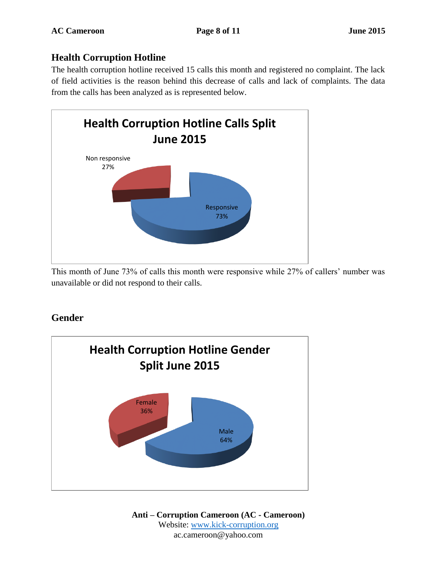# **Health Corruption Hotline**

The health corruption hotline received 15 calls this month and registered no complaint. The lack of field activities is the reason behind this decrease of calls and lack of complaints. The data from the calls has been analyzed as is represented below.



This month of June 73% of calls this month were responsive while 27% of callers' number was unavailable or did not respond to their calls.

# **Gender**



**Anti – Corruption Cameroon (AC - Cameroon)** Website: [www.kick-corruption.org](http://www.kick-corruption.org/) ac.cameroon@yahoo.com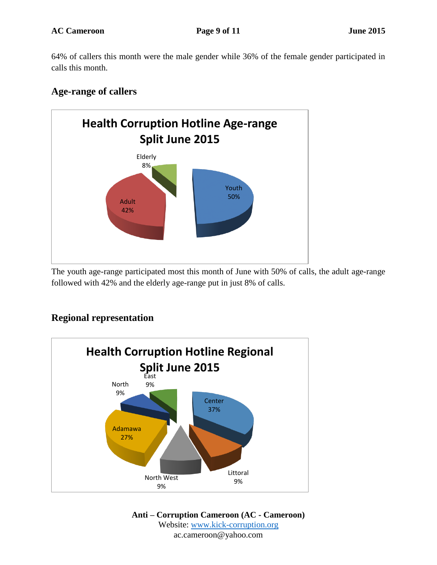64% of callers this month were the male gender while 36% of the female gender participated in calls this month.

#### **Age-range of callers**



The youth age-range participated most this month of June with 50% of calls, the adult age-range followed with 42% and the elderly age-range put in just 8% of calls.

# **Regional representation**



**Anti – Corruption Cameroon (AC - Cameroon)** Website: [www.kick-corruption.org](http://www.kick-corruption.org/) ac.cameroon@yahoo.com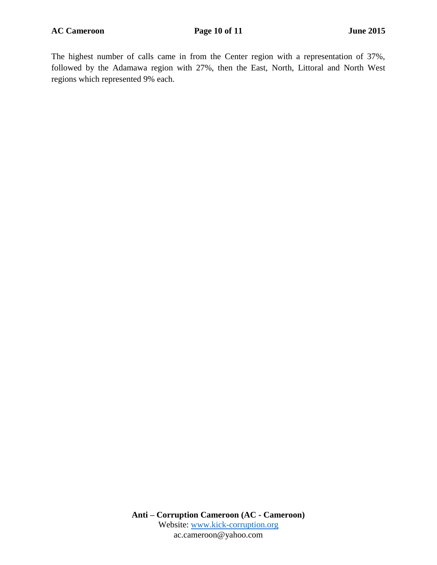The highest number of calls came in from the Center region with a representation of 37%, followed by the Adamawa region with 27%, then the East, North, Littoral and North West regions which represented 9% each.